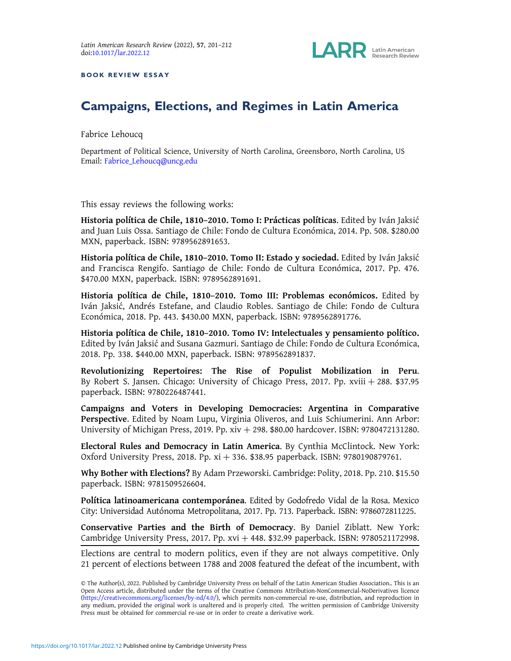

BOOK REVIEW ESSAY

# Campaigns, Elections, and Regimes in Latin America

Fabrice Lehoucq

Department of Political Science, University of North Carolina, Greensboro, North Carolina, US Email: Fabrice\_Lehoucq@uncg.edu

This essay reviews the following works:

Historia política de Chile, 1810-2010. Tomo I: Prácticas políticas. Edited by Iván Jaksić and Juan Luis Ossa. Santiago de Chile: Fondo de Cultura Económica, 2014. Pp. 508. \$280.00 MXN, paperback. ISBN: 9789562891653.

Historia política de Chile, 1810-2010. Tomo II: Estado y sociedad. Edited by Iván Jaksić and Francisca Rengifo. Santiago de Chile: Fondo de Cultura Económica, 2017. Pp. 476. \$470.00 MXN, paperback. ISBN: 9789562891691.

Historia política de Chile, 1810-2010. Tomo III: Problemas económicos. Edited by Iván Jaksić, Andrés Estefane, and Claudio Robles. Santiago de Chile: Fondo de Cultura Económica, 2018. Pp. 443. \$430.00 MXN, paperback. ISBN: 9789562891776.

Historia política de Chile, 1810–2010. Tomo IV: Intelectuales y pensamiento político. Edited by Iván Jaksić and Susana Gazmuri. Santiago de Chile: Fondo de Cultura Económica, 2018. Pp. 338. \$440.00 MXN, paperback. ISBN: 9789562891837.

Revolutionizing Repertoires: The Rise of Populist Mobilization in Peru. By Robert S. Jansen. Chicago: University of Chicago Press, 2017. Pp. xviii  $+288$ . \$37.95 paperback. ISBN: 9780226487441.

Campaigns and Voters in Developing Democracies: Argentina in Comparative Perspective. Edited by Noam Lupu, Virginia Oliveros, and Luis Schiumerini. Ann Arbor: University of Michigan Press, 2019. Pp. xiv + 298. \$80.00 hardcover. ISBN: 9780472131280.

Electoral Rules and Democracy in Latin America. By Cynthia McClintock. New York: Oxford University Press, 2018. Pp. xi + 336. \$38.95 paperback. ISBN: 9780190879761.

Why Bother with Elections? By Adam Przeworski. Cambridge: Polity, 2018. Pp. 210. \$15.50 paperback. ISBN: 9781509526604.

Política latinoamericana contemporánea. Edited by Godofredo Vidal de la Rosa. Mexico City: Universidad Autónoma Metropolitana, 2017. Pp. 713. Paperback. ISBN: 9786072811225.

Conservative Parties and the Birth of Democracy. By Daniel Ziblatt. New York: Cambridge University Press, 2017. Pp. xvi + 448. \$32.99 paperback. ISBN: 9780521172998.

Elections are central to modern politics, even if they are not always competitive. Only 21 percent of elections between 1788 and 2008 featured the defeat of the incumbent, with

<sup>©</sup> The Author(s), 2022. Published by Cambridge University Press on behalf of the Latin American Studies Association.. This is an Open Access article, distributed under the terms of the Creative Commons Attribution-NonCommercial-NoDerivatives licence (https://creativecommons.org/licenses/by-nd/4.0/), which permits non-commercial re-use, distribution, and reproduction in any medium, provided the original work is unaltered and is properly cited. The written permission of Cambridge University Press must be obtained for commercial re-use or in order to create a derivative work.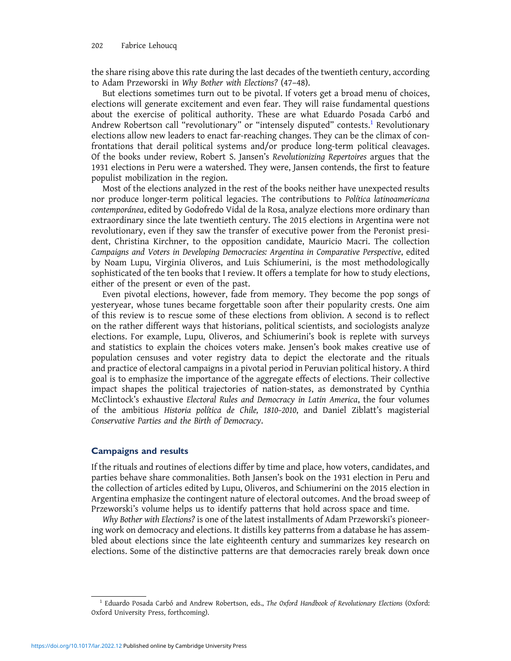the share rising above this rate during the last decades of the twentieth century, according to Adam Przeworski in Why Bother with Elections? (47–48).

But elections sometimes turn out to be pivotal. If voters get a broad menu of choices, elections will generate excitement and even fear. They will raise fundamental questions about the exercise of political authority. These are what Eduardo Posada Carbó and Andrew Robertson call "revolutionary" or "intensely disputed" contests.<sup>1</sup> Revolutionary elections allow new leaders to enact far-reaching changes. They can be the climax of confrontations that derail political systems and/or produce long-term political cleavages. Of the books under review, Robert S. Jansen's Revolutionizing Repertoires argues that the 1931 elections in Peru were a watershed. They were, Jansen contends, the first to feature populist mobilization in the region.

Most of the elections analyzed in the rest of the books neither have unexpected results nor produce longer-term political legacies. The contributions to Política latinoamericana contemporánea, edited by Godofredo Vidal de la Rosa, analyze elections more ordinary than extraordinary since the late twentieth century. The 2015 elections in Argentina were not revolutionary, even if they saw the transfer of executive power from the Peronist president, Christina Kirchner, to the opposition candidate, Mauricio Macri. The collection Campaigns and Voters in Developing Democracies: Argentina in Comparative Perspective, edited by Noam Lupu, Virginia Oliveros, and Luis Schiumerini, is the most methodologically sophisticated of the ten books that I review. It offers a template for how to study elections, either of the present or even of the past.

Even pivotal elections, however, fade from memory. They become the pop songs of yesteryear, whose tunes became forgettable soon after their popularity crests. One aim of this review is to rescue some of these elections from oblivion. A second is to reflect on the rather different ways that historians, political scientists, and sociologists analyze elections. For example, Lupu, Oliveros, and Schiumerini's book is replete with surveys and statistics to explain the choices voters make. Jensen's book makes creative use of population censuses and voter registry data to depict the electorate and the rituals and practice of electoral campaigns in a pivotal period in Peruvian political history. A third goal is to emphasize the importance of the aggregate effects of elections. Their collective impact shapes the political trajectories of nation-states, as demonstrated by Cynthia McClintock's exhaustive Electoral Rules and Democracy in Latin America, the four volumes of the ambitious Historia política de Chile, 1810–2010, and Daniel Ziblatt's magisterial Conservative Parties and the Birth of Democracy.

## Campaigns and results

If the rituals and routines of elections differ by time and place, how voters, candidates, and parties behave share commonalities. Both Jansen's book on the 1931 election in Peru and the collection of articles edited by Lupu, Oliveros, and Schiumerini on the 2015 election in Argentina emphasize the contingent nature of electoral outcomes. And the broad sweep of Przeworski's volume helps us to identify patterns that hold across space and time.

Why Bother with Elections? is one of the latest installments of Adam Przeworski's pioneering work on democracy and elections. It distills key patterns from a database he has assembled about elections since the late eighteenth century and summarizes key research on elections. Some of the distinctive patterns are that democracies rarely break down once

 $1$  Eduardo Posada Carbó and Andrew Robertson, eds., The Oxford Handbook of Revolutionary Elections (Oxford: Oxford University Press, forthcoming).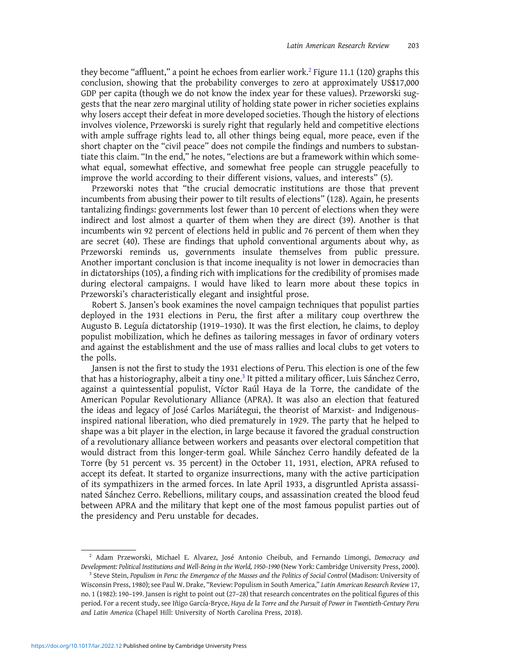they become "affluent," a point he echoes from earlier work.<sup>2</sup> Figure 11.1 (120) graphs this conclusion, showing that the probability converges to zero at approximately US\$17,000 GDP per capita (though we do not know the index year for these values). Przeworski suggests that the near zero marginal utility of holding state power in richer societies explains why losers accept their defeat in more developed societies. Though the history of elections involves violence, Przeworski is surely right that regularly held and competitive elections with ample suffrage rights lead to, all other things being equal, more peace, even if the short chapter on the "civil peace" does not compile the findings and numbers to substantiate this claim. "In the end," he notes, "elections are but a framework within which somewhat equal, somewhat effective, and somewhat free people can struggle peacefully to improve the world according to their different visions, values, and interests" (5).

Przeworski notes that "the crucial democratic institutions are those that prevent incumbents from abusing their power to tilt results of elections" (128). Again, he presents tantalizing findings: governments lost fewer than 10 percent of elections when they were indirect and lost almost a quarter of them when they are direct (39). Another is that incumbents win 92 percent of elections held in public and 76 percent of them when they are secret (40). These are findings that uphold conventional arguments about why, as Przeworski reminds us, governments insulate themselves from public pressure. Another important conclusion is that income inequality is not lower in democracies than in dictatorships (105), a finding rich with implications for the credibility of promises made during electoral campaigns. I would have liked to learn more about these topics in Przeworski's characteristically elegant and insightful prose.

Robert S. Jansen's book examines the novel campaign techniques that populist parties deployed in the 1931 elections in Peru, the first after a military coup overthrew the Augusto B. Leguía dictatorship (1919–1930). It was the first election, he claims, to deploy populist mobilization, which he defines as tailoring messages in favor of ordinary voters and against the establishment and the use of mass rallies and local clubs to get voters to the polls.

Jansen is not the first to study the 1931 elections of Peru. This election is one of the few that has a historiography, albeit a tiny one.<sup>3</sup> It pitted a military officer, Luis Sánchez Cerro, against a quintessential populist, Víctor Raúl Haya de la Torre, the candidate of the American Popular Revolutionary Alliance (APRA). It was also an election that featured the ideas and legacy of José Carlos Mariátegui, the theorist of Marxist- and Indigenousinspired national liberation, who died prematurely in 1929. The party that he helped to shape was a bit player in the election, in large because it favored the gradual construction of a revolutionary alliance between workers and peasants over electoral competition that would distract from this longer-term goal. While Sánchez Cerro handily defeated de la Torre (by 51 percent vs. 35 percent) in the October 11, 1931, election, APRA refused to accept its defeat. It started to organize insurrections, many with the active participation of its sympathizers in the armed forces. In late April 1933, a disgruntled Aprista assassinated Sánchez Cerro. Rebellions, military coups, and assassination created the blood feud between APRA and the military that kept one of the most famous populist parties out of the presidency and Peru unstable for decades.

<sup>&</sup>lt;sup>2</sup> Adam Przeworski, Michael E. Alvarez, José Antonio Cheibub, and Fernando Limongi, Democracy and Development: Political Institutions and Well-Being in the World, 1950–1990 (New York: Cambridge University Press, 2000).

<sup>&</sup>lt;sup>3</sup> Steve Stein, Populism in Peru: the Emergence of the Masses and the Politics of Social Control (Madison: University of Wisconsin Press, 1980); see Paul W. Drake, "Review: Populism in South America," Latin American Research Review 17, no. 1 (1982): 190–199. Jansen is right to point out (27–28) that research concentrates on the political figures of this period. For a recent study, see Iñigo García-Bryce, Haya de la Torre and the Pursuit of Power in Twentieth-Century Peru and Latin America (Chapel Hill: University of North Carolina Press, 2018).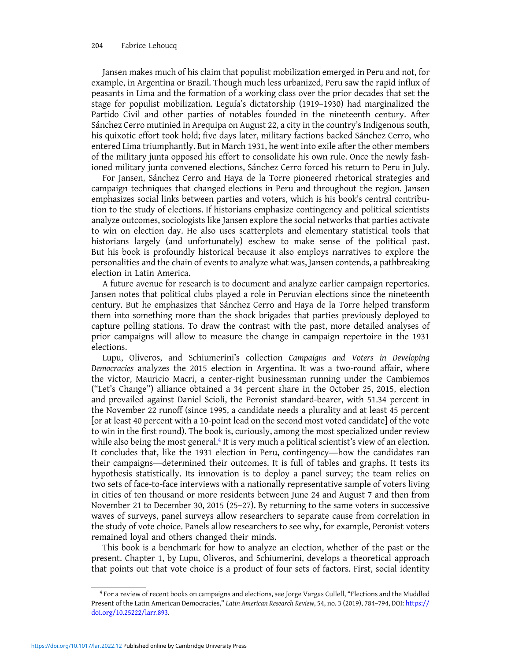Jansen makes much of his claim that populist mobilization emerged in Peru and not, for example, in Argentina or Brazil. Though much less urbanized, Peru saw the rapid influx of peasants in Lima and the formation of a working class over the prior decades that set the stage for populist mobilization. Leguía's dictatorship (1919–1930) had marginalized the Partido Civil and other parties of notables founded in the nineteenth century. After Sánchez Cerro mutinied in Arequipa on August 22, a city in the country's Indigenous south, his quixotic effort took hold; five days later, military factions backed Sánchez Cerro, who entered Lima triumphantly. But in March 1931, he went into exile after the other members of the military junta opposed his effort to consolidate his own rule. Once the newly fashioned military junta convened elections, Sánchez Cerro forced his return to Peru in July.

For Jansen, Sánchez Cerro and Haya de la Torre pioneered rhetorical strategies and campaign techniques that changed elections in Peru and throughout the region. Jansen emphasizes social links between parties and voters, which is his book's central contribution to the study of elections. If historians emphasize contingency and political scientists analyze outcomes, sociologists like Jansen explore the social networks that parties activate to win on election day. He also uses scatterplots and elementary statistical tools that historians largely (and unfortunately) eschew to make sense of the political past. But his book is profoundly historical because it also employs narratives to explore the personalities and the chain of events to analyze what was, Jansen contends, a pathbreaking election in Latin America.

A future avenue for research is to document and analyze earlier campaign repertories. Jansen notes that political clubs played a role in Peruvian elections since the nineteenth century. But he emphasizes that Sánchez Cerro and Haya de la Torre helped transform them into something more than the shock brigades that parties previously deployed to capture polling stations. To draw the contrast with the past, more detailed analyses of prior campaigns will allow to measure the change in campaign repertoire in the 1931 elections.

Lupu, Oliveros, and Schiumerini's collection Campaigns and Voters in Developing Democracies analyzes the 2015 election in Argentina. It was a two-round affair, where the victor, Mauricio Macri, a center-right businessman running under the Cambiemos ("Let's Change") alliance obtained a 34 percent share in the October 25, 2015, election and prevailed against Daniel Scioli, the Peronist standard-bearer, with 51.34 percent in the November 22 runoff (since 1995, a candidate needs a plurality and at least 45 percent [or at least 40 percent with a 10-point lead on the second most voted candidate] of the vote to win in the first round). The book is, curiously, among the most specialized under review while also being the most general. $4$  It is very much a political scientist's view of an election. It concludes that, like the 1931 election in Peru, contingency—how the candidates ran their campaigns—determined their outcomes. It is full of tables and graphs. It tests its hypothesis statistically. Its innovation is to deploy a panel survey; the team relies on two sets of face-to-face interviews with a nationally representative sample of voters living in cities of ten thousand or more residents between June 24 and August 7 and then from November 21 to December 30, 2015 (25–27). By returning to the same voters in successive waves of surveys, panel surveys allow researchers to separate cause from correlation in the study of vote choice. Panels allow researchers to see why, for example, Peronist voters remained loyal and others changed their minds.

This book is a benchmark for how to analyze an election, whether of the past or the present. Chapter 1, by Lupu, Oliveros, and Schiumerini, develops a theoretical approach that points out that vote choice is a product of four sets of factors. First, social identity

<sup>4</sup> For a review of recent books on campaigns and elections, see Jorge Vargas Cullell, "Elections and the Muddled Present of the Latin American Democracies," Latin American Research Review, 54, no. 3 (2019), 784–794, DOI: https:// doi.org/10.25222/larr.893.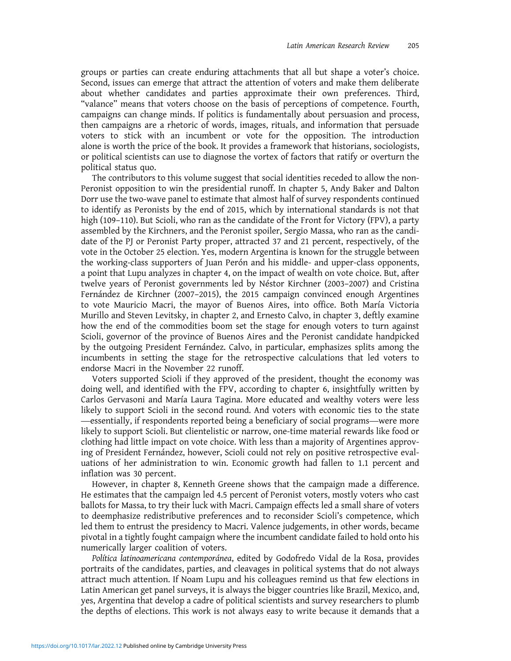groups or parties can create enduring attachments that all but shape a voter's choice. Second, issues can emerge that attract the attention of voters and make them deliberate about whether candidates and parties approximate their own preferences. Third, "valance" means that voters choose on the basis of perceptions of competence. Fourth, campaigns can change minds. If politics is fundamentally about persuasion and process, then campaigns are a rhetoric of words, images, rituals, and information that persuade voters to stick with an incumbent or vote for the opposition. The introduction alone is worth the price of the book. It provides a framework that historians, sociologists, or political scientists can use to diagnose the vortex of factors that ratify or overturn the political status quo.

The contributors to this volume suggest that social identities receded to allow the non-Peronist opposition to win the presidential runoff. In chapter 5, Andy Baker and Dalton Dorr use the two-wave panel to estimate that almost half of survey respondents continued to identify as Peronists by the end of 2015, which by international standards is not that high (109–110). But Scioli, who ran as the candidate of the Front for Victory (FPV), a party assembled by the Kirchners, and the Peronist spoiler, Sergio Massa, who ran as the candidate of the PJ or Peronist Party proper, attracted 37 and 21 percent, respectively, of the vote in the October 25 election. Yes, modern Argentina is known for the struggle between the working-class supporters of Juan Perón and his middle- and upper-class opponents, a point that Lupu analyzes in chapter 4, on the impact of wealth on vote choice. But, after twelve years of Peronist governments led by Néstor Kirchner (2003–2007) and Cristina Fernández de Kirchner (2007–2015), the 2015 campaign convinced enough Argentines to vote Mauricio Macri, the mayor of Buenos Aires, into office. Both María Victoria Murillo and Steven Levitsky, in chapter 2, and Ernesto Calvo, in chapter 3, deftly examine how the end of the commodities boom set the stage for enough voters to turn against Scioli, governor of the province of Buenos Aires and the Peronist candidate handpicked by the outgoing President Fernández. Calvo, in particular, emphasizes splits among the incumbents in setting the stage for the retrospective calculations that led voters to endorse Macri in the November 22 runoff.

Voters supported Scioli if they approved of the president, thought the economy was doing well, and identified with the FPV, according to chapter 6, insightfully written by Carlos Gervasoni and María Laura Tagina. More educated and wealthy voters were less likely to support Scioli in the second round. And voters with economic ties to the state —essentially, if respondents reported being a beneficiary of social programs—were more likely to support Scioli. But clientelistic or narrow, one-time material rewards like food or clothing had little impact on vote choice. With less than a majority of Argentines approving of President Fernández, however, Scioli could not rely on positive retrospective evaluations of her administration to win. Economic growth had fallen to 1.1 percent and inflation was 30 percent.

However, in chapter 8, Kenneth Greene shows that the campaign made a difference. He estimates that the campaign led 4.5 percent of Peronist voters, mostly voters who cast ballots for Massa, to try their luck with Macri. Campaign effects led a small share of voters to deemphasize redistributive preferences and to reconsider Scioli's competence, which led them to entrust the presidency to Macri. Valence judgements, in other words, became pivotal in a tightly fought campaign where the incumbent candidate failed to hold onto his numerically larger coalition of voters.

Política latinoamericana contemporánea, edited by Godofredo Vidal de la Rosa, provides portraits of the candidates, parties, and cleavages in political systems that do not always attract much attention. If Noam Lupu and his colleagues remind us that few elections in Latin American get panel surveys, it is always the bigger countries like Brazil, Mexico, and, yes, Argentina that develop a cadre of political scientists and survey researchers to plumb the depths of elections. This work is not always easy to write because it demands that a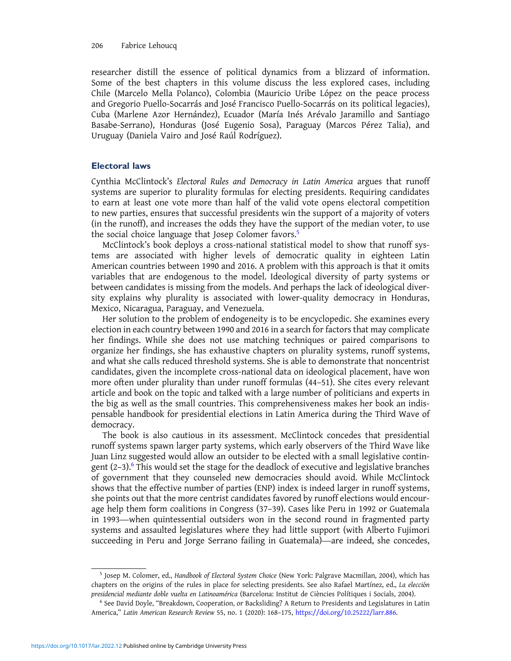## 206 Fabrice Lehoucq

researcher distill the essence of political dynamics from a blizzard of information. Some of the best chapters in this volume discuss the less explored cases, including Chile (Marcelo Mella Polanco), Colombia (Mauricio Uribe López on the peace process and Gregorio Puello-Socarrás and José Francisco Puello-Socarrás on its political legacies), Cuba (Marlene Azor Hernández), Ecuador (María Inés Arévalo Jaramillo and Santiago Basabe-Serrano), Honduras (José Eugenio Sosa), Paraguay (Marcos Pérez Talia), and Uruguay (Daniela Vairo and José Raúl Rodríguez).

# Electoral laws

Cynthia McClintock's Electoral Rules and Democracy in Latin America argues that runoff systems are superior to plurality formulas for electing presidents. Requiring candidates to earn at least one vote more than half of the valid vote opens electoral competition to new parties, ensures that successful presidents win the support of a majority of voters (in the runoff), and increases the odds they have the support of the median voter, to use the social choice language that Josep Colomer favors.<sup>5</sup>

McClintock's book deploys a cross-national statistical model to show that runoff systems are associated with higher levels of democratic quality in eighteen Latin American countries between 1990 and 2016. A problem with this approach is that it omits variables that are endogenous to the model. Ideological diversity of party systems or between candidates is missing from the models. And perhaps the lack of ideological diversity explains why plurality is associated with lower-quality democracy in Honduras, Mexico, Nicaragua, Paraguay, and Venezuela.

Her solution to the problem of endogeneity is to be encyclopedic. She examines every election in each country between 1990 and 2016 in a search for factors that may complicate her findings. While she does not use matching techniques or paired comparisons to organize her findings, she has exhaustive chapters on plurality systems, runoff systems, and what she calls reduced threshold systems. She is able to demonstrate that noncentrist candidates, given the incomplete cross-national data on ideological placement, have won more often under plurality than under runoff formulas (44–51). She cites every relevant article and book on the topic and talked with a large number of politicians and experts in the big as well as the small countries. This comprehensiveness makes her book an indispensable handbook for presidential elections in Latin America during the Third Wave of democracy.

The book is also cautious in its assessment. McClintock concedes that presidential runoff systems spawn larger party systems, which early observers of the Third Wave like Juan Linz suggested would allow an outsider to be elected with a small legislative contingent  $(2-3)$ .<sup>6</sup> This would set the stage for the deadlock of executive and legislative branches of government that they counseled new democracies should avoid. While McClintock shows that the effective number of parties (ENP) index is indeed larger in runoff systems, she points out that the more centrist candidates favored by runoff elections would encourage help them form coalitions in Congress (37–39). Cases like Peru in 1992 or Guatemala in 1993—when quintessential outsiders won in the second round in fragmented party systems and assaulted legislatures where they had little support (with Alberto Fujimori succeeding in Peru and Jorge Serrano failing in Guatemala)—are indeed, she concedes,

<sup>5</sup> Josep M. Colomer, ed., Handbook of Electoral System Choice (New York: Palgrave Macmillan, 2004), which has chapters on the origins of the rules in place for selecting presidents. See also Rafael Martínez, ed., La elección presidencial mediante doble vuelta en Latinoamérica (Barcelona: Institut de Ciències Polítiques i Socials, 2004).

<sup>6</sup> See David Doyle, "Breakdown, Cooperation, or Backsliding? A Return to Presidents and Legislatures in Latin America," Latin American Research Review 55, no. 1 (2020): 168–175, https://doi.org/10.25222/larr.886.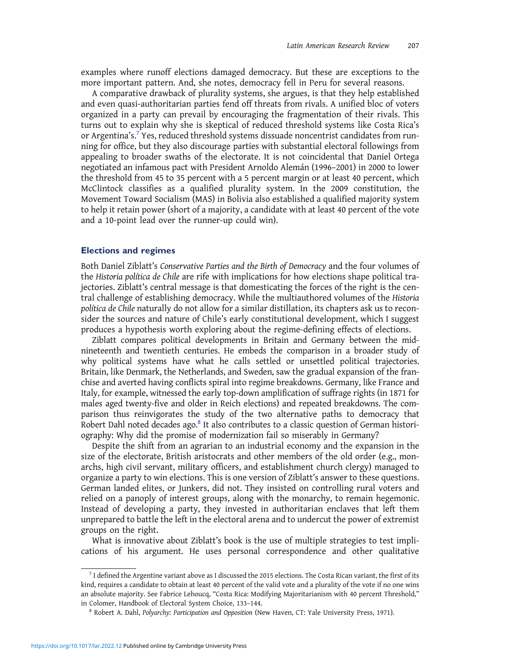examples where runoff elections damaged democracy. But these are exceptions to the more important pattern. And, she notes, democracy fell in Peru for several reasons.

A comparative drawback of plurality systems, she argues, is that they help established and even quasi-authoritarian parties fend off threats from rivals. A unified bloc of voters organized in a party can prevail by encouraging the fragmentation of their rivals. This turns out to explain why she is skeptical of reduced threshold systems like Costa Rica's or Argentina's.<sup>7</sup> Yes, reduced threshold systems dissuade noncentrist candidates from running for office, but they also discourage parties with substantial electoral followings from appealing to broader swaths of the electorate. It is not coincidental that Daniel Ortega negotiated an infamous pact with President Arnoldo Alemán (1996–2001) in 2000 to lower the threshold from 45 to 35 percent with a 5 percent margin or at least 40 percent, which McClintock classifies as a qualified plurality system. In the 2009 constitution, the Movement Toward Socialism (MAS) in Bolivia also established a qualified majority system to help it retain power (short of a majority, a candidate with at least 40 percent of the vote and a 10-point lead over the runner-up could win).

## Elections and regimes

Both Daniel Ziblatt's Conservative Parties and the Birth of Democracy and the four volumes of the Historia política de Chile are rife with implications for how elections shape political trajectories. Ziblatt's central message is that domesticating the forces of the right is the central challenge of establishing democracy. While the multiauthored volumes of the Historia política de Chile naturally do not allow for a similar distillation, its chapters ask us to reconsider the sources and nature of Chile's early constitutional development, which I suggest produces a hypothesis worth exploring about the regime-defining effects of elections.

Ziblatt compares political developments in Britain and Germany between the midnineteenth and twentieth centuries. He embeds the comparison in a broader study of why political systems have what he calls settled or unsettled political trajectories. Britain, like Denmark, the Netherlands, and Sweden, saw the gradual expansion of the franchise and averted having conflicts spiral into regime breakdowns. Germany, like France and Italy, for example, witnessed the early top-down amplification of suffrage rights (in 1871 for males aged twenty-five and older in Reich elections) and repeated breakdowns. The comparison thus reinvigorates the study of the two alternative paths to democracy that Robert Dahl noted decades ago.<sup>8</sup> It also contributes to a classic question of German historiography: Why did the promise of modernization fail so miserably in Germany?

Despite the shift from an agrarian to an industrial economy and the expansion in the size of the electorate, British aristocrats and other members of the old order (e.g., monarchs, high civil servant, military officers, and establishment church clergy) managed to organize a party to win elections. This is one version of Ziblatt's answer to these questions. German landed elites, or Junkers, did not. They insisted on controlling rural voters and relied on a panoply of interest groups, along with the monarchy, to remain hegemonic. Instead of developing a party, they invested in authoritarian enclaves that left them unprepared to battle the left in the electoral arena and to undercut the power of extremist groups on the right.

What is innovative about Ziblatt's book is the use of multiple strategies to test implications of his argument. He uses personal correspondence and other qualitative

<sup>7</sup> I defined the Argentine variant above as I discussed the 2015 elections. The Costa Rican variant, the first of its kind, requires a candidate to obtain at least 40 percent of the valid vote and a plurality of the vote if no one wins an absolute majority. See Fabrice Lehoucq, "Costa Rica: Modifying Majoritarianism with 40 percent Threshold," in Colomer, Handbook of Electoral System Choice, 133–144.

<sup>&</sup>lt;sup>8</sup> Robert A. Dahl, Polyarchy: Participation and Opposition (New Haven, CT: Yale University Press, 1971).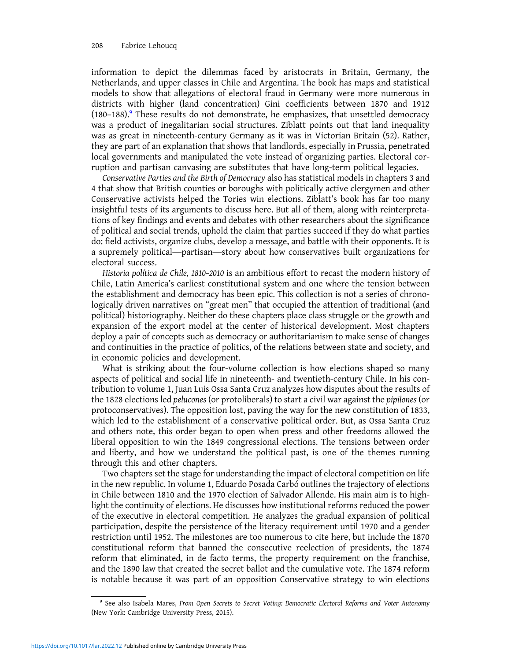information to depict the dilemmas faced by aristocrats in Britain, Germany, the Netherlands, and upper classes in Chile and Argentina. The book has maps and statistical models to show that allegations of electoral fraud in Germany were more numerous in districts with higher (land concentration) Gini coefficients between 1870 and 1912  $(180-188).<sup>9</sup>$  These results do not demonstrate, he emphasizes, that unsettled democracy was a product of inegalitarian social structures. Ziblatt points out that land inequality was as great in nineteenth-century Germany as it was in Victorian Britain (52). Rather, they are part of an explanation that shows that landlords, especially in Prussia, penetrated local governments and manipulated the vote instead of organizing parties. Electoral corruption and partisan canvasing are substitutes that have long-term political legacies.

Conservative Parties and the Birth of Democracy also has statistical models in chapters 3 and 4 that show that British counties or boroughs with politically active clergymen and other Conservative activists helped the Tories win elections. Ziblatt's book has far too many insightful tests of its arguments to discuss here. But all of them, along with reinterpretations of key findings and events and debates with other researchers about the significance of political and social trends, uphold the claim that parties succeed if they do what parties do: field activists, organize clubs, develop a message, and battle with their opponents. It is a supremely political—partisan—story about how conservatives built organizations for electoral success.

Historia política de Chile, 1810–2010 is an ambitious effort to recast the modern history of Chile, Latin America's earliest constitutional system and one where the tension between the establishment and democracy has been epic. This collection is not a series of chronologically driven narratives on "great men" that occupied the attention of traditional (and political) historiography. Neither do these chapters place class struggle or the growth and expansion of the export model at the center of historical development. Most chapters deploy a pair of concepts such as democracy or authoritarianism to make sense of changes and continuities in the practice of politics, of the relations between state and society, and in economic policies and development.

What is striking about the four-volume collection is how elections shaped so many aspects of political and social life in nineteenth- and twentieth-century Chile. In his contribution to volume 1, Juan Luis Ossa Santa Cruz analyzes how disputes about the results of the 1828 elections led pelucones (or protoliberals) to start a civil war against the pipilones (or protoconservatives). The opposition lost, paving the way for the new constitution of 1833, which led to the establishment of a conservative political order. But, as Ossa Santa Cruz and others note, this order began to open when press and other freedoms allowed the liberal opposition to win the 1849 congressional elections. The tensions between order and liberty, and how we understand the political past, is one of the themes running through this and other chapters.

Two chapters set the stage for understanding the impact of electoral competition on life in the new republic. In volume 1, Eduardo Posada Carbó outlines the trajectory of elections in Chile between 1810 and the 1970 election of Salvador Allende. His main aim is to highlight the continuity of elections. He discusses how institutional reforms reduced the power of the executive in electoral competition. He analyzes the gradual expansion of political participation, despite the persistence of the literacy requirement until 1970 and a gender restriction until 1952. The milestones are too numerous to cite here, but include the 1870 constitutional reform that banned the consecutive reelection of presidents, the 1874 reform that eliminated, in de facto terms, the property requirement on the franchise, and the 1890 law that created the secret ballot and the cumulative vote. The 1874 reform is notable because it was part of an opposition Conservative strategy to win elections

<sup>&</sup>lt;sup>9</sup> See also Isabela Mares, From Open Secrets to Secret Voting: Democratic Electoral Reforms and Voter Autonomy (New York: Cambridge University Press, 2015).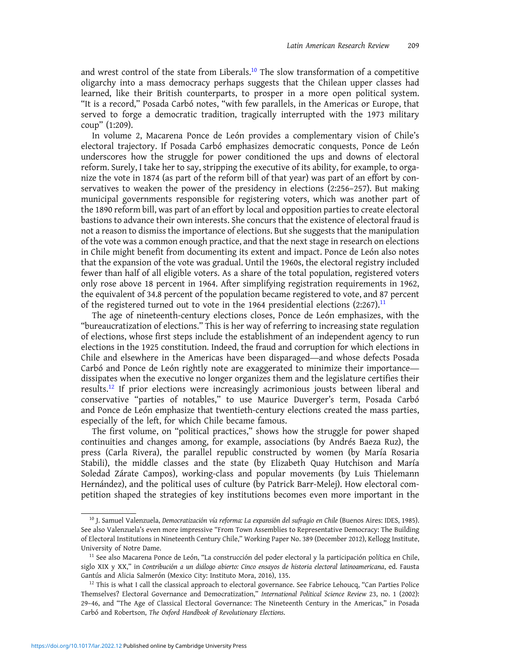and wrest control of the state from Liberals.<sup>10</sup> The slow transformation of a competitive oligarchy into a mass democracy perhaps suggests that the Chilean upper classes had learned, like their British counterparts, to prosper in a more open political system. "It is a record," Posada Carbó notes, "with few parallels, in the Americas or Europe, that served to forge a democratic tradition, tragically interrupted with the 1973 military coup" (1:209).

In volume 2, Macarena Ponce de León provides a complementary vision of Chile's electoral trajectory. If Posada Carbó emphasizes democratic conquests, Ponce de León underscores how the struggle for power conditioned the ups and downs of electoral reform. Surely, I take her to say, stripping the executive of its ability, for example, to organize the vote in 1874 (as part of the reform bill of that year) was part of an effort by conservatives to weaken the power of the presidency in elections (2:256–257). But making municipal governments responsible for registering voters, which was another part of the 1890 reform bill, was part of an effort by local and opposition parties to create electoral bastions to advance their own interests. She concurs that the existence of electoral fraud is not a reason to dismiss the importance of elections. But she suggests that the manipulation of the vote was a common enough practice, and that the next stage in research on elections in Chile might benefit from documenting its extent and impact. Ponce de León also notes that the expansion of the vote was gradual. Until the 1960s, the electoral registry included fewer than half of all eligible voters. As a share of the total population, registered voters only rose above 18 percent in 1964. After simplifying registration requirements in 1962, the equivalent of 34.8 percent of the population became registered to vote, and 87 percent of the registered turned out to vote in the 1964 presidential elections  $(2:267).$ <sup>11</sup>

The age of nineteenth-century elections closes, Ponce de León emphasizes, with the "bureaucratization of elections." This is her way of referring to increasing state regulation of elections, whose first steps include the establishment of an independent agency to run elections in the 1925 constitution. Indeed, the fraud and corruption for which elections in Chile and elsewhere in the Americas have been disparaged—and whose defects Posada Carbó and Ponce de León rightly note are exaggerated to minimize their importance dissipates when the executive no longer organizes them and the legislature certifies their results.<sup>12</sup> If prior elections were increasingly acrimonious jousts between liberal and conservative "parties of notables," to use Maurice Duverger's term, Posada Carbó and Ponce de León emphasize that twentieth-century elections created the mass parties, especially of the left, for which Chile became famous.

The first volume, on "political practices," shows how the struggle for power shaped continuities and changes among, for example, associations (by Andrés Baeza Ruz), the press (Carla Rivera), the parallel republic constructed by women (by María Rosaria Stabili), the middle classes and the state (by Elizabeth Quay Hutchison and María Soledad Zárate Campos), working-class and popular movements (by Luis Thielemann Hernández), and the political uses of culture (by Patrick Barr-Melej). How electoral competition shaped the strategies of key institutions becomes even more important in the

<sup>&</sup>lt;sup>10</sup> J. Samuel Valenzuela, Democratización vía reforma: La expansión del sufragio en Chile (Buenos Aires: IDES, 1985). See also Valenzuela's even more impressive "From Town Assemblies to Representative Democracy: The Building of Electoral Institutions in Nineteenth Century Chile," Working Paper No. 389 (December 2012), Kellogg Institute, University of Notre Dame.

 $11$  See also Macarena Ponce de León, "La construcción del poder electoral y la participación política en Chile, siglo XIX y XX," in Contribución a un diálogo abierto: Cinco ensayos de historia electoral latinoamericana, ed. Fausta Gantús and Alicia Salmerón (Mexico City: Instituto Mora, 2016), 135.

 $12$  This is what I call the classical approach to electoral governance. See Fabrice Lehoucq, "Can Parties Police Themselves? Electoral Governance and Democratization," International Political Science Review 23, no. 1 (2002): 29–46, and "The Age of Classical Electoral Governance: The Nineteenth Century in the Americas," in Posada Carbó and Robertson, The Oxford Handbook of Revolutionary Elections.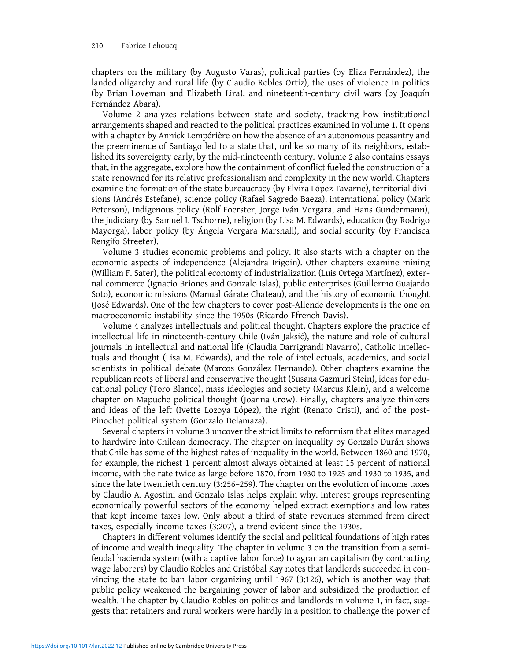## 210 Fabrice Lehoucq

chapters on the military (by Augusto Varas), political parties (by Eliza Fernández), the landed oligarchy and rural life (by Claudio Robles Ortiz), the uses of violence in politics (by Brian Loveman and Elizabeth Lira), and nineteenth-century civil wars (by Joaquín Fernández Abara).

Volume 2 analyzes relations between state and society, tracking how institutional arrangements shaped and reacted to the political practices examined in volume 1. It opens with a chapter by Annick Lempérière on how the absence of an autonomous peasantry and the preeminence of Santiago led to a state that, unlike so many of its neighbors, established its sovereignty early, by the mid-nineteenth century. Volume 2 also contains essays that, in the aggregate, explore how the containment of conflict fueled the construction of a state renowned for its relative professionalism and complexity in the new world. Chapters examine the formation of the state bureaucracy (by Elvira López Tavarne), territorial divisions (Andrés Estefane), science policy (Rafael Sagredo Baeza), international policy (Mark Peterson), Indigenous policy (Rolf Foerster, Jorge Iván Vergara, and Hans Gundermann), the judiciary (by Samuel I. Tschorne), religion (by Lisa M. Edwards), education (by Rodrigo Mayorga), labor policy (by Ángela Vergara Marshall), and social security (by Francisca Rengifo Streeter).

Volume 3 studies economic problems and policy. It also starts with a chapter on the economic aspects of independence (Alejandra Irigoin). Other chapters examine mining (William F. Sater), the political economy of industrialization (Luis Ortega Martínez), external commerce (Ignacio Briones and Gonzalo Islas), public enterprises (Guillermo Guajardo Soto), economic missions (Manual Gárate Chateau), and the history of economic thought (José Edwards). One of the few chapters to cover post-Allende developments is the one on macroeconomic instability since the 1950s (Ricardo Ffrench-Davis).

Volume 4 analyzes intellectuals and political thought. Chapters explore the practice of intellectual life in nineteenth-century Chile (Iván Jaksić), the nature and role of cultural journals in intellectual and national life (Claudia Darrigrandi Navarro), Catholic intellectuals and thought (Lisa M. Edwards), and the role of intellectuals, academics, and social scientists in political debate (Marcos González Hernando). Other chapters examine the republican roots of liberal and conservative thought (Susana Gazmuri Stein), ideas for educational policy (Toro Blanco), mass ideologies and society (Marcus Klein), and a welcome chapter on Mapuche political thought (Joanna Crow). Finally, chapters analyze thinkers and ideas of the left (Ivette Lozoya López), the right (Renato Cristi), and of the post-Pinochet political system (Gonzalo Delamaza).

Several chapters in volume 3 uncover the strict limits to reformism that elites managed to hardwire into Chilean democracy. The chapter on inequality by Gonzalo Durán shows that Chile has some of the highest rates of inequality in the world. Between 1860 and 1970, for example, the richest 1 percent almost always obtained at least 15 percent of national income, with the rate twice as large before 1870, from 1930 to 1925 and 1930 to 1935, and since the late twentieth century (3:256–259). The chapter on the evolution of income taxes by Claudio A. Agostini and Gonzalo Islas helps explain why. Interest groups representing economically powerful sectors of the economy helped extract exemptions and low rates that kept income taxes low. Only about a third of state revenues stemmed from direct taxes, especially income taxes (3:207), a trend evident since the 1930s.

Chapters in different volumes identify the social and political foundations of high rates of income and wealth inequality. The chapter in volume 3 on the transition from a semifeudal hacienda system (with a captive labor force) to agrarian capitalism (by contracting wage laborers) by Claudio Robles and Cristóbal Kay notes that landlords succeeded in convincing the state to ban labor organizing until 1967 (3:126), which is another way that public policy weakened the bargaining power of labor and subsidized the production of wealth. The chapter by Claudio Robles on politics and landlords in volume 1, in fact, suggests that retainers and rural workers were hardly in a position to challenge the power of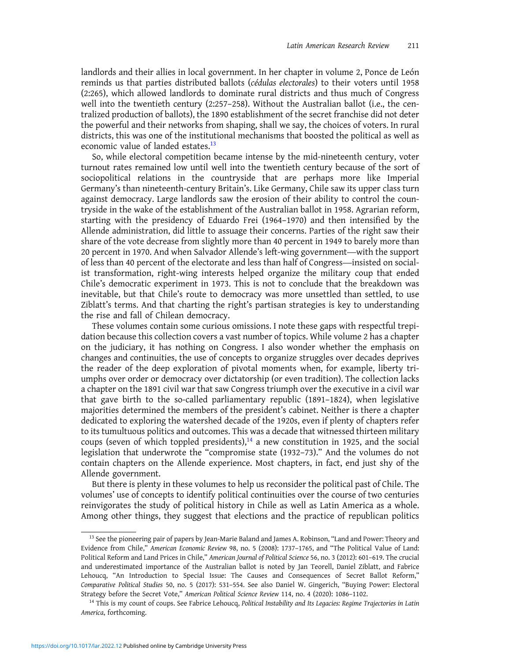landlords and their allies in local government. In her chapter in volume 2, Ponce de León reminds us that parties distributed ballots (cédulas electorales) to their voters until 1958 (2:265), which allowed landlords to dominate rural districts and thus much of Congress well into the twentieth century (2:257–258). Without the Australian ballot (i.e., the centralized production of ballots), the 1890 establishment of the secret franchise did not deter the powerful and their networks from shaping, shall we say, the choices of voters. In rural districts, this was one of the institutional mechanisms that boosted the political as well as economic value of landed estates  $^{13}$ 

So, while electoral competition became intense by the mid-nineteenth century, voter turnout rates remained low until well into the twentieth century because of the sort of sociopolitical relations in the countryside that are perhaps more like Imperial Germany's than nineteenth-century Britain's. Like Germany, Chile saw its upper class turn against democracy. Large landlords saw the erosion of their ability to control the countryside in the wake of the establishment of the Australian ballot in 1958. Agrarian reform, starting with the presidency of Eduardo Frei (1964–1970) and then intensified by the Allende administration, did little to assuage their concerns. Parties of the right saw their share of the vote decrease from slightly more than 40 percent in 1949 to barely more than 20 percent in 1970. And when Salvador Allende's left-wing government—with the support of less than 40 percent of the electorate and less than half of Congress—insisted on socialist transformation, right-wing interests helped organize the military coup that ended Chile's democratic experiment in 1973. This is not to conclude that the breakdown was inevitable, but that Chile's route to democracy was more unsettled than settled, to use Ziblatt's terms. And that charting the right's partisan strategies is key to understanding the rise and fall of Chilean democracy.

These volumes contain some curious omissions. I note these gaps with respectful trepidation because this collection covers a vast number of topics. While volume 2 has a chapter on the judiciary, it has nothing on Congress. I also wonder whether the emphasis on changes and continuities, the use of concepts to organize struggles over decades deprives the reader of the deep exploration of pivotal moments when, for example, liberty triumphs over order or democracy over dictatorship (or even tradition). The collection lacks a chapter on the 1891 civil war that saw Congress triumph over the executive in a civil war that gave birth to the so-called parliamentary republic (1891–1824), when legislative majorities determined the members of the president's cabinet. Neither is there a chapter dedicated to exploring the watershed decade of the 1920s, even if plenty of chapters refer to its tumultuous politics and outcomes. This was a decade that witnessed thirteen military coups (seven of which toppled presidents), $14$  a new constitution in 1925, and the social legislation that underwrote the "compromise state (1932–73)." And the volumes do not contain chapters on the Allende experience. Most chapters, in fact, end just shy of the Allende government.

But there is plenty in these volumes to help us reconsider the political past of Chile. The volumes' use of concepts to identify political continuities over the course of two centuries reinvigorates the study of political history in Chile as well as Latin America as a whole. Among other things, they suggest that elections and the practice of republican politics

<sup>&</sup>lt;sup>13</sup> See the pioneering pair of papers by Jean-Marie Baland and James A. Robinson, "Land and Power: Theory and Evidence from Chile," American Economic Review 98, no. 5 (2008): 1737–1765, and "The Political Value of Land: Political Reform and Land Prices in Chile," American Journal of Political Science 56, no. 3 (2012): 601–619. The crucial and underestimated importance of the Australian ballot is noted by Jan Teorell, Daniel Ziblatt, and Fabrice Lehoucq, "An Introduction to Special Issue: The Causes and Consequences of Secret Ballot Reform," Comparative Political Studies 50, no. 5 (2017): 531–554. See also Daniel W. Gingerich, "Buying Power: Electoral Strategy before the Secret Vote," American Political Science Review 114, no. 4 (2020): 1086–1102.

<sup>&</sup>lt;sup>14</sup> This is my count of coups. See Fabrice Lehoucq, Political Instability and Its Legacies: Regime Trajectories in Latin America, forthcoming.